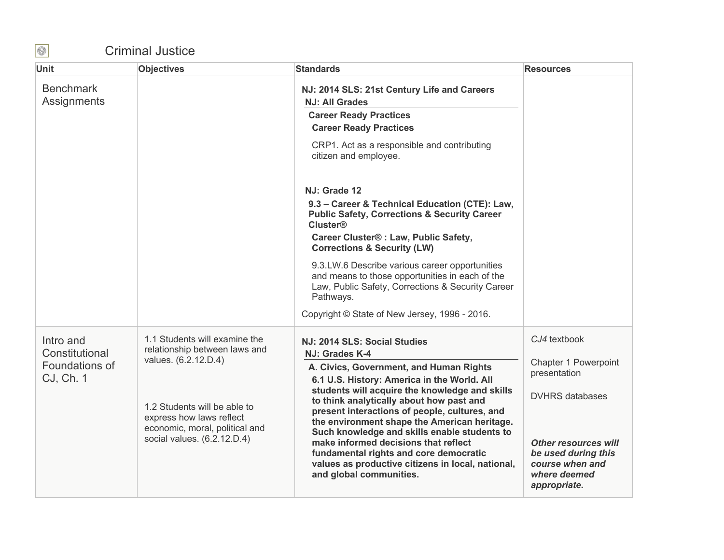## Criminal Justice

| <b>Unit</b>                     | <b>Objectives</b>                                                                          | <b>Standards</b>                                                                                                                                                                                                                                                                                                                      | <b>Resources</b>                                                                                      |
|---------------------------------|--------------------------------------------------------------------------------------------|---------------------------------------------------------------------------------------------------------------------------------------------------------------------------------------------------------------------------------------------------------------------------------------------------------------------------------------|-------------------------------------------------------------------------------------------------------|
| <b>Benchmark</b><br>Assignments |                                                                                            | NJ: 2014 SLS: 21st Century Life and Careers<br><b>NJ: All Grades</b><br><b>Career Ready Practices</b><br><b>Career Ready Practices</b>                                                                                                                                                                                                |                                                                                                       |
|                                 |                                                                                            | CRP1. Act as a responsible and contributing<br>citizen and employee.                                                                                                                                                                                                                                                                  |                                                                                                       |
|                                 |                                                                                            | NJ: Grade 12                                                                                                                                                                                                                                                                                                                          |                                                                                                       |
|                                 |                                                                                            | 9.3 - Career & Technical Education (CTE): Law,<br><b>Public Safety, Corrections &amp; Security Career</b><br><b>Cluster®</b>                                                                                                                                                                                                          |                                                                                                       |
|                                 |                                                                                            | Career Cluster® : Law, Public Safety,<br><b>Corrections &amp; Security (LW)</b>                                                                                                                                                                                                                                                       |                                                                                                       |
|                                 |                                                                                            | 9.3.LW.6 Describe various career opportunities<br>and means to those opportunities in each of the<br>Law, Public Safety, Corrections & Security Career<br>Pathways.                                                                                                                                                                   |                                                                                                       |
|                                 |                                                                                            | Copyright © State of New Jersey, 1996 - 2016.                                                                                                                                                                                                                                                                                         |                                                                                                       |
| Intro and<br>Constitutional     | 1.1 Students will examine the<br>relationship between laws and<br>values. (6.2.12.D.4)     | NJ: 2014 SLS: Social Studies<br>NJ: Grades K-4                                                                                                                                                                                                                                                                                        | CJ4 textbook<br>Chapter 1 Powerpoint                                                                  |
| Foundations of<br>CJ, Ch. 1     |                                                                                            | A. Civics, Government, and Human Rights<br>6.1 U.S. History: America in the World. All<br>students will acquire the knowledge and skills<br>to think analytically about how past and<br>present interactions of people, cultures, and<br>the environment shape the American heritage.<br>Such knowledge and skills enable students to | presentation                                                                                          |
|                                 | 1.2 Students will be able to<br>express how laws reflect<br>economic, moral, political and |                                                                                                                                                                                                                                                                                                                                       | <b>DVHRS</b> databases                                                                                |
|                                 | social values. (6.2.12.D.4)                                                                | make informed decisions that reflect<br>fundamental rights and core democratic<br>values as productive citizens in local, national,<br>and global communities.                                                                                                                                                                        | <b>Other resources will</b><br>be used during this<br>course when and<br>where deemed<br>appropriate. |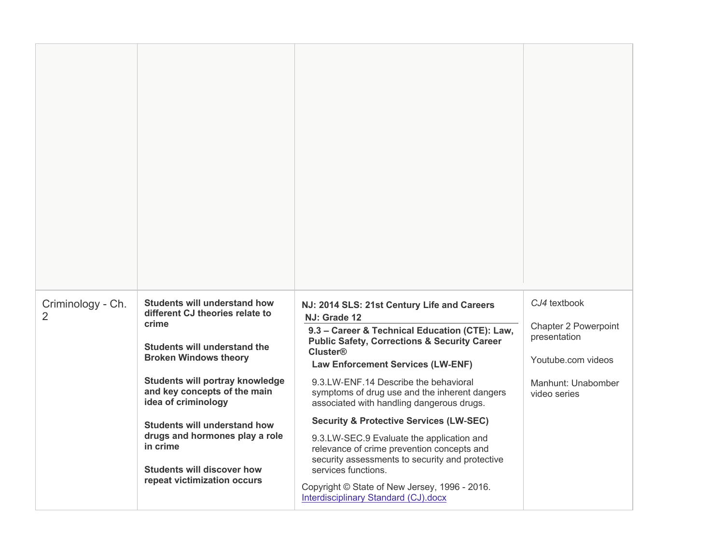| Criminology - Ch.<br>2 | <b>Students will understand how</b><br>different CJ theories relate to<br>crime<br>Students will understand the<br><b>Broken Windows theory</b><br>Students will portray knowledge<br>and key concepts of the main<br>idea of criminology<br><b>Students will understand how</b><br>drugs and hormones play a role<br>in crime<br><b>Students will discover how</b><br>repeat victimization occurs | NJ: 2014 SLS: 21st Century Life and Careers<br>NJ: Grade 12<br>9.3 - Career & Technical Education (CTE): Law,<br><b>Public Safety, Corrections &amp; Security Career</b><br><b>Cluster®</b><br><b>Law Enforcement Services (LW-ENF)</b><br>9.3.LW-ENF.14 Describe the behavioral<br>symptoms of drug use and the inherent dangers<br>associated with handling dangerous drugs.<br><b>Security &amp; Protective Services (LW-SEC)</b><br>9.3.LW-SEC.9 Evaluate the application and<br>relevance of crime prevention concepts and<br>security assessments to security and protective<br>services functions.<br>Copyright © State of New Jersey, 1996 - 2016. | CJ4 textbook<br><b>Chapter 2 Powerpoint</b><br>presentation<br>Youtube.com videos<br>Manhunt: Unabomber<br>video series |
|------------------------|----------------------------------------------------------------------------------------------------------------------------------------------------------------------------------------------------------------------------------------------------------------------------------------------------------------------------------------------------------------------------------------------------|------------------------------------------------------------------------------------------------------------------------------------------------------------------------------------------------------------------------------------------------------------------------------------------------------------------------------------------------------------------------------------------------------------------------------------------------------------------------------------------------------------------------------------------------------------------------------------------------------------------------------------------------------------|-------------------------------------------------------------------------------------------------------------------------|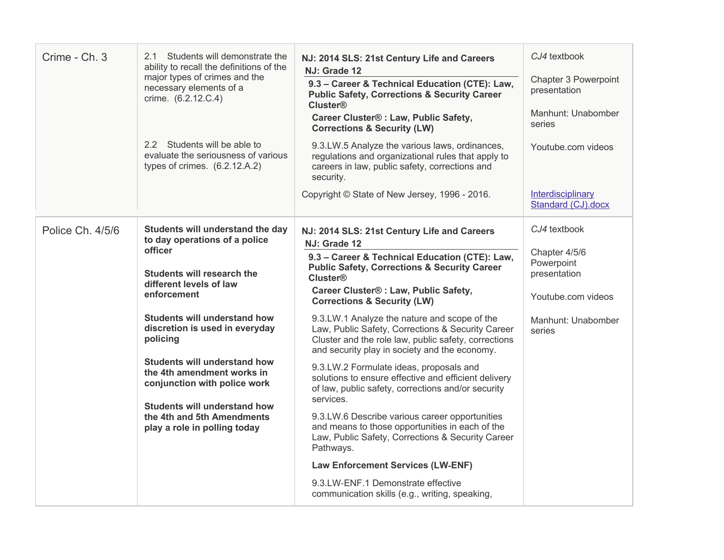| Crime - Ch. 3    | 2.1 Students will demonstrate the<br>ability to recall the definitions of the<br>major types of crimes and the<br>necessary elements of a<br>crime. (6.2.12.C.4)<br>2.2 Students will be able to<br>evaluate the seriousness of various<br>types of crimes. (6.2.12.A.2)                                                                                                                                                                            | NJ: 2014 SLS: 21st Century Life and Careers<br>NJ: Grade 12<br>9.3 - Career & Technical Education (CTE): Law,<br><b>Public Safety, Corrections &amp; Security Career</b><br><b>Cluster®</b><br>Career Cluster® : Law, Public Safety,<br><b>Corrections &amp; Security (LW)</b><br>9.3.LW.5 Analyze the various laws, ordinances,<br>regulations and organizational rules that apply to<br>careers in law, public safety, corrections and<br>security.<br>Copyright © State of New Jersey, 1996 - 2016.                                                                                                                                                                                                                                                                                                                                                                                                                                                                        | CJ4 textbook<br>Chapter 3 Powerpoint<br>presentation<br>Manhunt: Unabomber<br>series<br>Youtube.com videos<br>Interdisciplinary<br>Standard (CJ).docx |
|------------------|-----------------------------------------------------------------------------------------------------------------------------------------------------------------------------------------------------------------------------------------------------------------------------------------------------------------------------------------------------------------------------------------------------------------------------------------------------|-------------------------------------------------------------------------------------------------------------------------------------------------------------------------------------------------------------------------------------------------------------------------------------------------------------------------------------------------------------------------------------------------------------------------------------------------------------------------------------------------------------------------------------------------------------------------------------------------------------------------------------------------------------------------------------------------------------------------------------------------------------------------------------------------------------------------------------------------------------------------------------------------------------------------------------------------------------------------------|-------------------------------------------------------------------------------------------------------------------------------------------------------|
| Police Ch. 4/5/6 | Students will understand the day<br>to day operations of a police<br>officer<br>Students will research the<br>different levels of law<br>enforcement<br><b>Students will understand how</b><br>discretion is used in everyday<br>policing<br><b>Students will understand how</b><br>the 4th amendment works in<br>conjunction with police work<br><b>Students will understand how</b><br>the 4th and 5th Amendments<br>play a role in polling today | NJ: 2014 SLS: 21st Century Life and Careers<br>NJ: Grade 12<br>9.3 - Career & Technical Education (CTE): Law,<br><b>Public Safety, Corrections &amp; Security Career</b><br><b>Cluster®</b><br>Career Cluster® : Law, Public Safety,<br><b>Corrections &amp; Security (LW)</b><br>9.3.LW.1 Analyze the nature and scope of the<br>Law, Public Safety, Corrections & Security Career<br>Cluster and the role law, public safety, corrections<br>and security play in society and the economy.<br>9.3.LW.2 Formulate ideas, proposals and<br>solutions to ensure effective and efficient delivery<br>of law, public safety, corrections and/or security<br>services.<br>9.3.LW.6 Describe various career opportunities<br>and means to those opportunities in each of the<br>Law, Public Safety, Corrections & Security Career<br>Pathways.<br><b>Law Enforcement Services (LW-ENF)</b><br>9.3.LW-ENF.1 Demonstrate effective<br>communication skills (e.g., writing, speaking, | CJ4 textbook<br>Chapter 4/5/6<br>Powerpoint<br>presentation<br>Youtube.com videos<br>Manhunt: Unabomber<br>series                                     |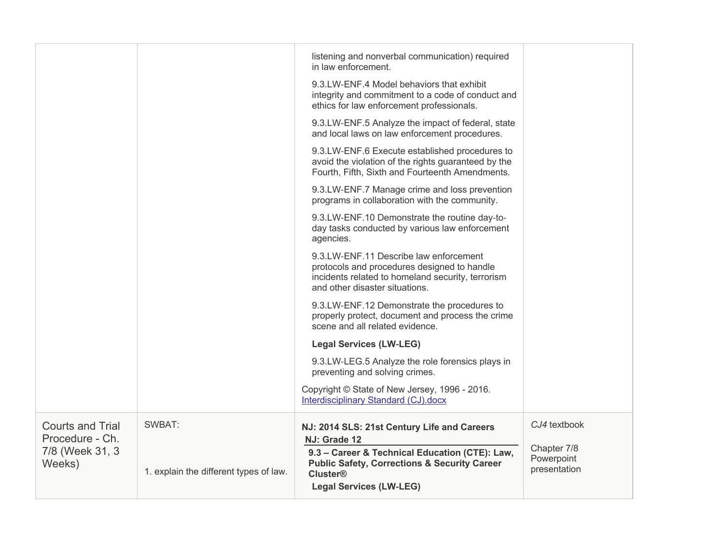|                                            |                                        | listening and nonverbal communication) required<br>in law enforcement.                                                                                                       |                                           |
|--------------------------------------------|----------------------------------------|------------------------------------------------------------------------------------------------------------------------------------------------------------------------------|-------------------------------------------|
|                                            |                                        | 9.3.LW-ENF.4 Model behaviors that exhibit<br>integrity and commitment to a code of conduct and<br>ethics for law enforcement professionals.                                  |                                           |
|                                            |                                        | 9.3.LW-ENF.5 Analyze the impact of federal, state<br>and local laws on law enforcement procedures.                                                                           |                                           |
|                                            |                                        | 9.3.LW-ENF.6 Execute established procedures to<br>avoid the violation of the rights guaranteed by the<br>Fourth, Fifth, Sixth and Fourteenth Amendments.                     |                                           |
|                                            |                                        | 9.3.LW-ENF.7 Manage crime and loss prevention<br>programs in collaboration with the community.                                                                               |                                           |
|                                            |                                        | 9.3.LW-ENF.10 Demonstrate the routine day-to-<br>day tasks conducted by various law enforcement<br>agencies.                                                                 |                                           |
|                                            |                                        | 9.3.LW-ENF.11 Describe law enforcement<br>protocols and procedures designed to handle<br>incidents related to homeland security, terrorism<br>and other disaster situations. |                                           |
|                                            |                                        | 9.3.LW-ENF.12 Demonstrate the procedures to<br>properly protect, document and process the crime<br>scene and all related evidence.                                           |                                           |
|                                            |                                        | <b>Legal Services (LW-LEG)</b>                                                                                                                                               |                                           |
|                                            |                                        | 9.3.LW-LEG.5 Analyze the role forensics plays in<br>preventing and solving crimes.                                                                                           |                                           |
|                                            |                                        | Copyright © State of New Jersey, 1996 - 2016.<br><b>Interdisciplinary Standard (CJ).docx</b>                                                                                 |                                           |
| <b>Courts and Trial</b><br>Procedure - Ch. | SWBAT:                                 | NJ: 2014 SLS: 21st Century Life and Careers<br>NJ: Grade 12                                                                                                                  | CJ4 textbook                              |
| 7/8 (Week 31, 3<br>Weeks)                  | 1. explain the different types of law. | 9.3 - Career & Technical Education (CTE): Law,<br><b>Public Safety, Corrections &amp; Security Career</b><br><b>Cluster®</b><br><b>Legal Services (LW-LEG)</b>               | Chapter 7/8<br>Powerpoint<br>presentation |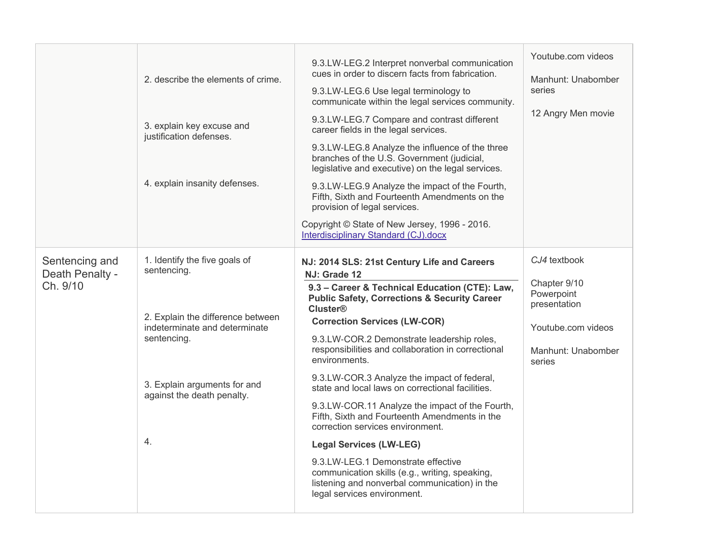|                                               | 2. describe the elements of crime.<br>3. explain key excuse and    | 9.3.LW-LEG.2 Interpret nonverbal communication<br>cues in order to discern facts from fabrication.<br>9.3.LW-LEG.6 Use legal terminology to<br>communicate within the legal services community.<br>9.3.LW-LEG.7 Compare and contrast different<br>career fields in the legal services. | Youtube.com videos<br>Manhunt: Unabomber<br>series<br>12 Angry Men movie |
|-----------------------------------------------|--------------------------------------------------------------------|----------------------------------------------------------------------------------------------------------------------------------------------------------------------------------------------------------------------------------------------------------------------------------------|--------------------------------------------------------------------------|
|                                               | justification defenses.                                            | 9.3.LW-LEG.8 Analyze the influence of the three<br>branches of the U.S. Government (judicial,<br>legislative and executive) on the legal services.                                                                                                                                     |                                                                          |
|                                               | 4. explain insanity defenses.                                      | 9.3.LW-LEG.9 Analyze the impact of the Fourth,<br>Fifth, Sixth and Fourteenth Amendments on the<br>provision of legal services.                                                                                                                                                        |                                                                          |
|                                               |                                                                    | Copyright © State of New Jersey, 1996 - 2016.<br>Interdisciplinary Standard (CJ).docx                                                                                                                                                                                                  |                                                                          |
| Sentencing and<br>Death Penalty -<br>Ch. 9/10 | 1. Identify the five goals of<br>sentencing.                       | NJ: 2014 SLS: 21st Century Life and Careers<br>NJ: Grade 12<br>9.3 - Career & Technical Education (CTE): Law,<br><b>Public Safety, Corrections &amp; Security Career</b>                                                                                                               | CJ4 textbook<br>Chapter 9/10<br>Powerpoint                               |
|                                               | 2. Explain the difference between<br>indeterminate and determinate | <b>Cluster®</b><br><b>Correction Services (LW-COR)</b>                                                                                                                                                                                                                                 | presentation<br>Youtube.com videos                                       |
|                                               | sentencing.                                                        | 9.3.LW-COR.2 Demonstrate leadership roles,<br>responsibilities and collaboration in correctional<br>environments.                                                                                                                                                                      | Manhunt: Unabomber<br>series                                             |
|                                               | 3. Explain arguments for and<br>against the death penalty.         | 9.3.LW-COR.3 Analyze the impact of federal,<br>state and local laws on correctional facilities.                                                                                                                                                                                        |                                                                          |
|                                               |                                                                    | 9.3.LW-COR.11 Analyze the impact of the Fourth,<br>Fifth, Sixth and Fourteenth Amendments in the<br>correction services environment.                                                                                                                                                   |                                                                          |
|                                               | 4.                                                                 | <b>Legal Services (LW-LEG)</b>                                                                                                                                                                                                                                                         |                                                                          |
|                                               |                                                                    | 9.3.LW-LEG.1 Demonstrate effective<br>communication skills (e.g., writing, speaking,<br>listening and nonverbal communication) in the<br>legal services environment.                                                                                                                   |                                                                          |
|                                               |                                                                    |                                                                                                                                                                                                                                                                                        |                                                                          |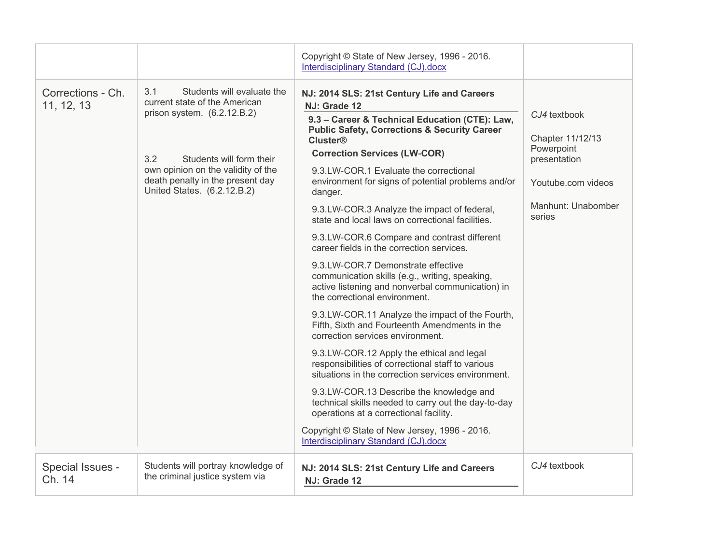|                                 |                                                                                                                                                                                                                                                 | Copyright © State of New Jersey, 1996 - 2016.<br>Interdisciplinary Standard (CJ).docx                                                                                                                                                                                                                                                                                                                                                                                                                                                                                                                                                                                                                                                                                                                                                                                                                                                                                                                                                                                                                                                                                                                                                                           |                                                                                                                      |
|---------------------------------|-------------------------------------------------------------------------------------------------------------------------------------------------------------------------------------------------------------------------------------------------|-----------------------------------------------------------------------------------------------------------------------------------------------------------------------------------------------------------------------------------------------------------------------------------------------------------------------------------------------------------------------------------------------------------------------------------------------------------------------------------------------------------------------------------------------------------------------------------------------------------------------------------------------------------------------------------------------------------------------------------------------------------------------------------------------------------------------------------------------------------------------------------------------------------------------------------------------------------------------------------------------------------------------------------------------------------------------------------------------------------------------------------------------------------------------------------------------------------------------------------------------------------------|----------------------------------------------------------------------------------------------------------------------|
| Corrections - Ch.<br>11, 12, 13 | 3.1<br>Students will evaluate the<br>current state of the American<br>prison system. $(6.2.12.B.2)$<br>3.2<br>Students will form their<br>own opinion on the validity of the<br>death penalty in the present day<br>United States. (6.2.12.B.2) | NJ: 2014 SLS: 21st Century Life and Careers<br>NJ: Grade 12<br>9.3 - Career & Technical Education (CTE): Law,<br><b>Public Safety, Corrections &amp; Security Career</b><br><b>Cluster®</b><br><b>Correction Services (LW-COR)</b><br>9.3.LW-COR.1 Evaluate the correctional<br>environment for signs of potential problems and/or<br>danger.<br>9.3.LW-COR.3 Analyze the impact of federal,<br>state and local laws on correctional facilities.<br>9.3.LW-COR.6 Compare and contrast different<br>career fields in the correction services.<br>9.3.LW-COR.7 Demonstrate effective<br>communication skills (e.g., writing, speaking,<br>active listening and nonverbal communication) in<br>the correctional environment.<br>9.3.LW-COR.11 Analyze the impact of the Fourth,<br>Fifth, Sixth and Fourteenth Amendments in the<br>correction services environment.<br>9.3.LW-COR.12 Apply the ethical and legal<br>responsibilities of correctional staff to various<br>situations in the correction services environment.<br>9.3.LW-COR.13 Describe the knowledge and<br>technical skills needed to carry out the day-to-day<br>operations at a correctional facility.<br>Copyright © State of New Jersey, 1996 - 2016.<br>Interdisciplinary Standard (CJ).docx | CJ4 textbook<br>Chapter 11/12/13<br>Powerpoint<br>presentation<br>Youtube.com videos<br>Manhunt: Unabomber<br>series |
| Special Issues -<br>Ch. 14      | Students will portray knowledge of<br>the criminal justice system via                                                                                                                                                                           | NJ: 2014 SLS: 21st Century Life and Careers<br>NJ: Grade 12                                                                                                                                                                                                                                                                                                                                                                                                                                                                                                                                                                                                                                                                                                                                                                                                                                                                                                                                                                                                                                                                                                                                                                                                     | CJ4 textbook                                                                                                         |